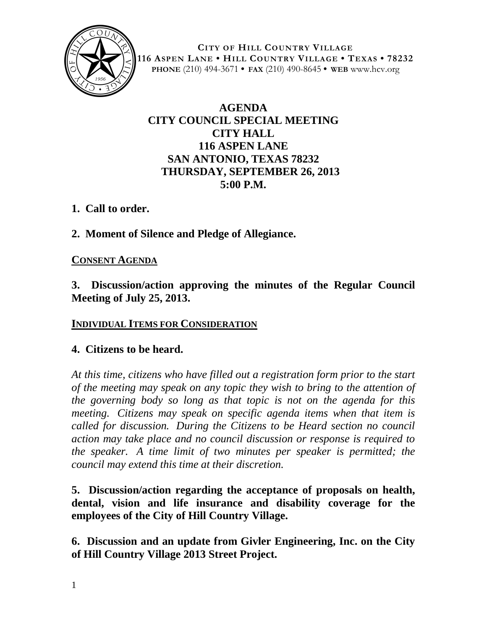

**CITY OF HILL COUNTRY VILLAGE 116 ASPEN LANE • HILL COUNTRY VILLAGE • TEXAS • 78232 PHONE** (210) 494-3671 **• FAX** (210) 490-8645 **• WEB** www.hcv.org

# **AGENDA CITY COUNCIL SPECIAL MEETING CITY HALL 116 ASPEN LANE SAN ANTONIO, TEXAS 78232 THURSDAY, SEPTEMBER 26, 2013 5:00 P.M.**

## **1. Call to order.**

**2. Moment of Silence and Pledge of Allegiance.**

#### **CONSENT AGENDA**

**3. Discussion/action approving the minutes of the Regular Council Meeting of July 25, 2013.**

#### **INDIVIDUAL ITEMS FOR CONSIDERATION**

#### **4. Citizens to be heard.**

*At this time, citizens who have filled out a registration form prior to the start of the meeting may speak on any topic they wish to bring to the attention of the governing body so long as that topic is not on the agenda for this meeting. Citizens may speak on specific agenda items when that item is called for discussion. During the Citizens to be Heard section no council action may take place and no council discussion or response is required to the speaker. A time limit of two minutes per speaker is permitted; the council may extend this time at their discretion.*

**5. Discussion/action regarding the acceptance of proposals on health, dental, vision and life insurance and disability coverage for the employees of the City of Hill Country Village.**

**6. Discussion and an update from Givler Engineering, Inc. on the City of Hill Country Village 2013 Street Project.**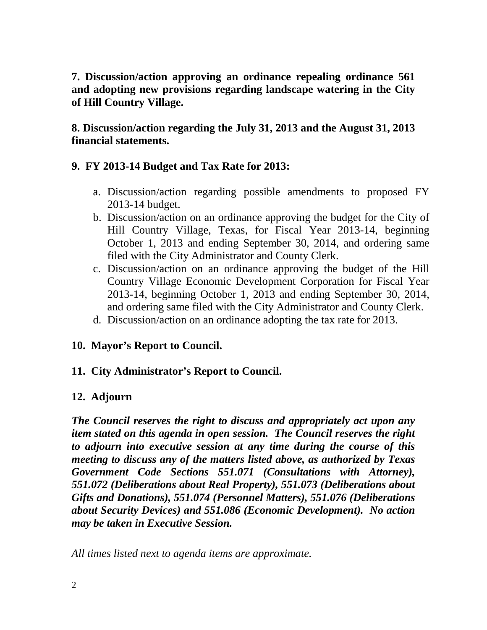**7. Discussion/action approving an ordinance repealing ordinance 561 and adopting new provisions regarding landscape watering in the City of Hill Country Village.**

**8. Discussion/action regarding the July 31, 2013 and the August 31, 2013 financial statements.**

### **9. FY 2013-14 Budget and Tax Rate for 2013:**

- a. Discussion/action regarding possible amendments to proposed FY 2013-14 budget.
- b. Discussion/action on an ordinance approving the budget for the City of Hill Country Village, Texas, for Fiscal Year 2013-14, beginning October 1, 2013 and ending September 30, 2014, and ordering same filed with the City Administrator and County Clerk.
- c. Discussion/action on an ordinance approving the budget of the Hill Country Village Economic Development Corporation for Fiscal Year 2013-14, beginning October 1, 2013 and ending September 30, 2014, and ordering same filed with the City Administrator and County Clerk.
- d. Discussion/action on an ordinance adopting the tax rate for 2013.

#### **10. Mayor's Report to Council.**

## **11. City Administrator's Report to Council.**

## **12. Adjourn**

*The Council reserves the right to discuss and appropriately act upon any item stated on this agenda in open session. The Council reserves the right to adjourn into executive session at any time during the course of this meeting to discuss any of the matters listed above, as authorized by Texas Government Code Sections 551.071 (Consultations with Attorney), 551.072 (Deliberations about Real Property), 551.073 (Deliberations about Gifts and Donations), 551.074 (Personnel Matters), 551.076 (Deliberations about Security Devices) and 551.086 (Economic Development). No action may be taken in Executive Session.*

*All times listed next to agenda items are approximate.*